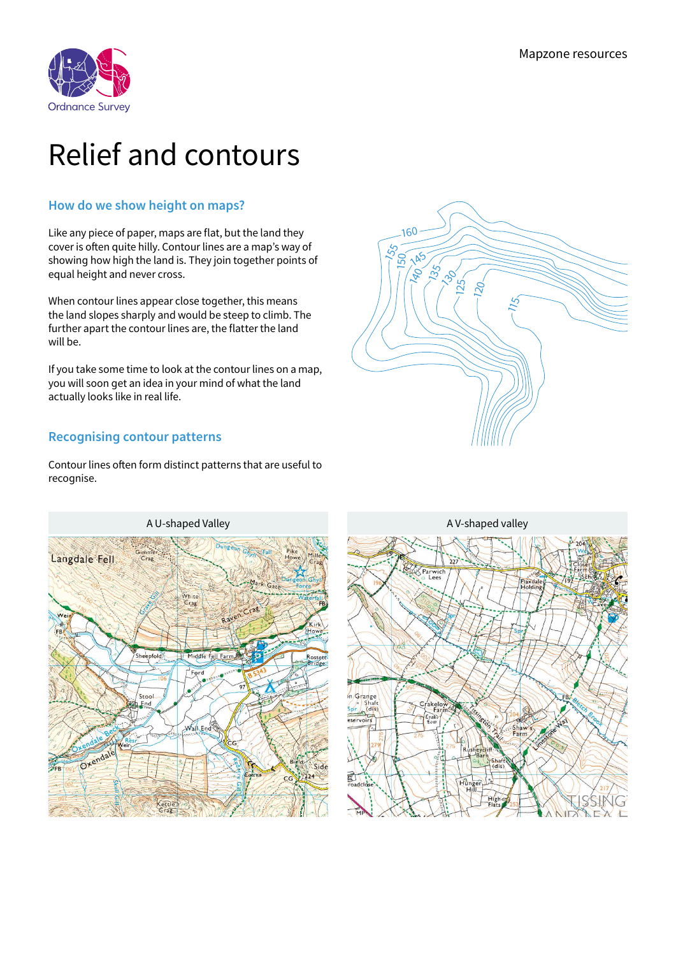

## Relief and contours

## **How do we show height on maps?**

Like any piece of paper, maps are flat, but the land they cover is often quite hilly. Contour lines are a map's way of showing how high the land is. They join together points of equal height and never cross.

When contour lines appear close together, this means the land slopes sharply and would be steep to climb. The further apart the contour lines are, the flatter the land will be.

If you take some time to look at the contour lines on a map, you will soon get an idea in your mind of what the land actually looks like in real life.

## **Recognising contour patterns**

Contour lines often form distinct patterns that are useful to recognise.